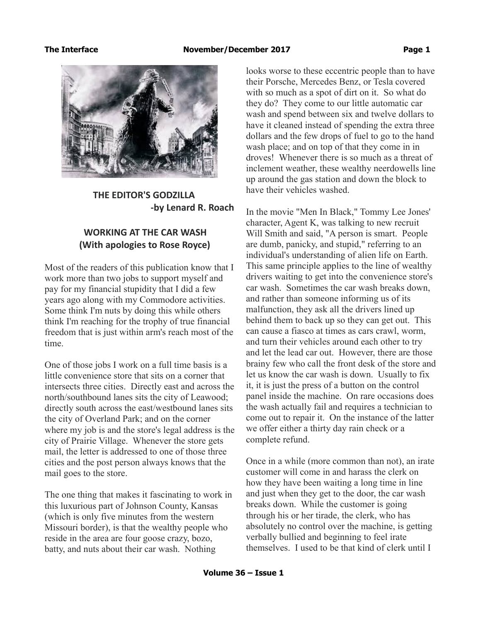

 **THE EDITOR'S GODZILLA -by Lenard R. Roach**

# **WORKING AT THE CAR WASH (With apologies to Rose Royce)**

Most of the readers of this publication know that I work more than two jobs to support myself and pay for my financial stupidity that I did a few years ago along with my Commodore activities. Some think I'm nuts by doing this while others think I'm reaching for the trophy of true financial freedom that is just within arm's reach most of the time.

One of those jobs I work on a full time basis is a little convenience store that sits on a corner that intersects three cities. Directly east and across the north/southbound lanes sits the city of Leawood; directly south across the east/westbound lanes sits the city of Overland Park; and on the corner where my job is and the store's legal address is the city of Prairie Village. Whenever the store gets mail, the letter is addressed to one of those three cities and the post person always knows that the mail goes to the store.

The one thing that makes it fascinating to work in this luxurious part of Johnson County, Kansas (which is only five minutes from the western Missouri border), is that the wealthy people who reside in the area are four goose crazy, bozo, batty, and nuts about their car wash. Nothing

looks worse to these eccentric people than to have their Porsche, Mercedes Benz, or Tesla covered with so much as a spot of dirt on it. So what do they do? They come to our little automatic car wash and spend between six and twelve dollars to have it cleaned instead of spending the extra three dollars and the few drops of fuel to go to the hand wash place; and on top of that they come in in droves! Whenever there is so much as a threat of inclement weather, these wealthy neerdowells line up around the gas station and down the block to have their vehicles washed.

In the movie "Men In Black," Tommy Lee Jones' character, Agent K, was talking to new recruit Will Smith and said, "A person is smart. People are dumb, panicky, and stupid," referring to an individual's understanding of alien life on Earth. This same principle applies to the line of wealthy drivers waiting to get into the convenience store's car wash. Sometimes the car wash breaks down, and rather than someone informing us of its malfunction, they ask all the drivers lined up behind them to back up so they can get out. This can cause a fiasco at times as cars crawl, worm, and turn their vehicles around each other to try and let the lead car out. However, there are those brainy few who call the front desk of the store and let us know the car wash is down. Usually to fix it, it is just the press of a button on the control panel inside the machine. On rare occasions does the wash actually fail and requires a technician to come out to repair it. On the instance of the latter we offer either a thirty day rain check or a complete refund.

Once in a while (more common than not), an irate customer will come in and harass the clerk on how they have been waiting a long time in line and just when they get to the door, the car wash breaks down. While the customer is going through his or her tirade, the clerk, who has absolutely no control over the machine, is getting verbally bullied and beginning to feel irate themselves. I used to be that kind of clerk until I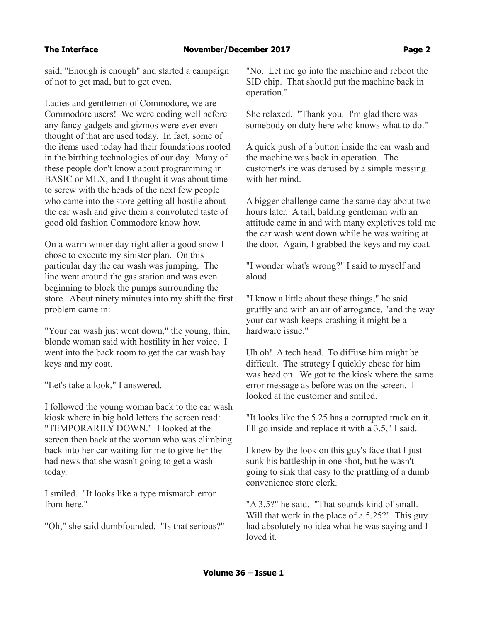said, "Enough is enough" and started a campaign of not to get mad, but to get even.

Ladies and gentlemen of Commodore, we are Commodore users! We were coding well before any fancy gadgets and gizmos were ever even thought of that are used today. In fact, some of the items used today had their foundations rooted in the birthing technologies of our day. Many of these people don't know about programming in BASIC or MLX, and I thought it was about time to screw with the heads of the next few people who came into the store getting all hostile about the car wash and give them a convoluted taste of good old fashion Commodore know how.

On a warm winter day right after a good snow I chose to execute my sinister plan. On this particular day the car wash was jumping. The line went around the gas station and was even beginning to block the pumps surrounding the store. About ninety minutes into my shift the first problem came in:

"Your car wash just went down," the young, thin, blonde woman said with hostility in her voice. I went into the back room to get the car wash bay keys and my coat.

"Let's take a look," I answered.

I followed the young woman back to the car wash kiosk where in big bold letters the screen read: "TEMPORARILY DOWN." I looked at the screen then back at the woman who was climbing back into her car waiting for me to give her the bad news that she wasn't going to get a wash today.

I smiled. "It looks like a type mismatch error from here."

"Oh," she said dumbfounded. "Is that serious?"

"No. Let me go into the machine and reboot the SID chip. That should put the machine back in operation."

She relaxed. "Thank you. I'm glad there was somebody on duty here who knows what to do."

A quick push of a button inside the car wash and the machine was back in operation. The customer's ire was defused by a simple messing with her mind.

A bigger challenge came the same day about two hours later. A tall, balding gentleman with an attitude came in and with many expletives told me the car wash went down while he was waiting at the door. Again, I grabbed the keys and my coat.

"I wonder what's wrong?" I said to myself and aloud.

"I know a little about these things," he said gruffly and with an air of arrogance, "and the way your car wash keeps crashing it might be a hardware issue."

Uh oh! A tech head. To diffuse him might be difficult. The strategy I quickly chose for him was head on. We got to the kiosk where the same error message as before was on the screen. I looked at the customer and smiled.

"It looks like the 5.25 has a corrupted track on it. I'll go inside and replace it with a 3.5," I said.

I knew by the look on this guy's face that I just sunk his battleship in one shot, but he wasn't going to sink that easy to the prattling of a dumb convenience store clerk.

"A 3.5?" he said. "That sounds kind of small. Will that work in the place of a 5.25?" This guy had absolutely no idea what he was saying and I loved it.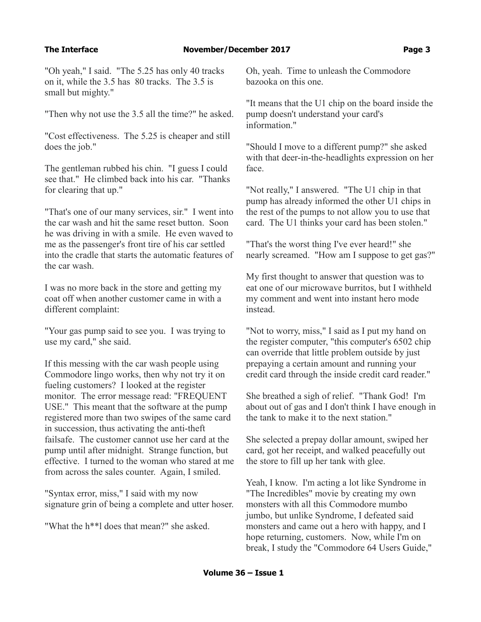"Oh yeah," I said. "The 5.25 has only 40 tracks on it, while the 3.5 has 80 tracks. The 3.5 is small but mighty."

"Then why not use the 3.5 all the time?" he asked.

"Cost effectiveness. The 5.25 is cheaper and still does the job."

The gentleman rubbed his chin. "I guess I could see that." He climbed back into his car. "Thanks for clearing that up."

"That's one of our many services, sir." I went into the car wash and hit the same reset button. Soon he was driving in with a smile. He even waved to me as the passenger's front tire of his car settled into the cradle that starts the automatic features of the car wash.

I was no more back in the store and getting my coat off when another customer came in with a different complaint:

"Your gas pump said to see you. I was trying to use my card," she said.

If this messing with the car wash people using Commodore lingo works, then why not try it on fueling customers? I looked at the register monitor. The error message read: "FREQUENT USE." This meant that the software at the pump registered more than two swipes of the same card in succession, thus activating the anti-theft failsafe. The customer cannot use her card at the pump until after midnight. Strange function, but effective. I turned to the woman who stared at me from across the sales counter. Again, I smiled.

"Syntax error, miss," I said with my now signature grin of being a complete and utter hoser.

"What the h\*\*l does that mean?" she asked.

Oh, yeah. Time to unleash the Commodore bazooka on this one.

"It means that the U1 chip on the board inside the pump doesn't understand your card's information."

"Should I move to a different pump?" she asked with that deer-in-the-headlights expression on her face.

"Not really," I answered. "The U1 chip in that pump has already informed the other U1 chips in the rest of the pumps to not allow you to use that card. The U1 thinks your card has been stolen."

"That's the worst thing I've ever heard!" she nearly screamed. "How am I suppose to get gas?"

My first thought to answer that question was to eat one of our microwave burritos, but I withheld my comment and went into instant hero mode instead.

"Not to worry, miss," I said as I put my hand on the register computer, "this computer's 6502 chip can override that little problem outside by just prepaying a certain amount and running your credit card through the inside credit card reader."

She breathed a sigh of relief. "Thank God! I'm about out of gas and I don't think I have enough in the tank to make it to the next station."

She selected a prepay dollar amount, swiped her card, got her receipt, and walked peacefully out the store to fill up her tank with glee.

Yeah, I know. I'm acting a lot like Syndrome in "The Incredibles" movie by creating my own monsters with all this Commodore mumbo jumbo, but unlike Syndrome, I defeated said monsters and came out a hero with happy, and I hope returning, customers. Now, while I'm on break, I study the "Commodore 64 Users Guide,"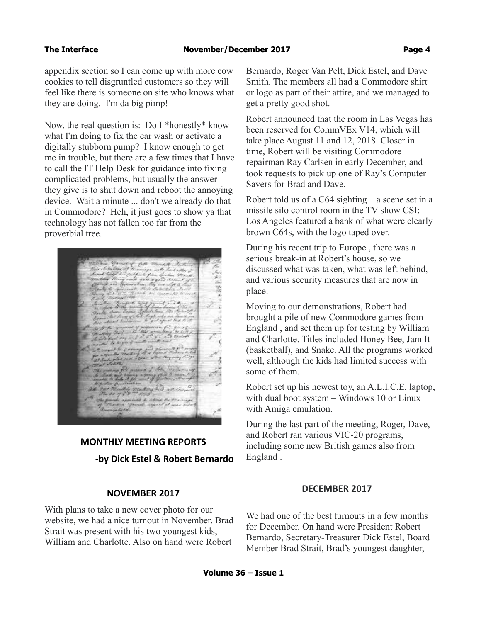### **The Interface November/December 2017 Page 4**

appendix section so I can come up with more cow cookies to tell disgruntled customers so they will feel like there is someone on site who knows what they are doing. I'm da big pimp!

Now, the real question is: Do I \*honestly\* know what I'm doing to fix the car wash or activate a digitally stubborn pump? I know enough to get me in trouble, but there are a few times that I have to call the IT Help Desk for guidance into fixing complicated problems, but usually the answer they give is to shut down and reboot the annoying device. Wait a minute ... don't we already do that in Commodore? Heh, it just goes to show ya that technology has not fallen too far from the proverbial tree.

# **MONTHLY MEETING REPORTS -by Dick Estel & Robert Bernardo**

### **NOVEMBER 2017**

With plans to take a new cover photo for our website, we had a nice turnout in November. Brad Strait was present with his two youngest kids, William and Charlotte. Also on hand were Robert

Bernardo, Roger Van Pelt, Dick Estel, and Dave Smith. The members all had a Commodore shirt or logo as part of their attire, and we managed to get a pretty good shot.

Robert announced that the room in Las Vegas has been reserved for CommVEx V14, which will take place August 11 and 12, 2018. Closer in time, Robert will be visiting Commodore repairman Ray Carlsen in early December, and took requests to pick up one of Ray's Computer Savers for Brad and Dave.

Robert told us of a C64 sighting – a scene set in a missile silo control room in the TV show CSI: Los Angeles featured a bank of what were clearly brown C64s, with the logo taped over.

During his recent trip to Europe , there was a serious break-in at Robert's house, so we discussed what was taken, what was left behind, and various security measures that are now in place.

Moving to our demonstrations, Robert had brought a pile of new Commodore games from England , and set them up for testing by William and Charlotte. Titles included Honey Bee, Jam It (basketball), and Snake. All the programs worked well, although the kids had limited success with some of them.

Robert set up his newest toy, an A.L.I.C.E. laptop, with dual boot system – Windows 10 or Linux with Amiga emulation.

During the last part of the meeting, Roger, Dave, and Robert ran various VIC-20 programs, including some new British games also from England .

### **DECEMBER 2017**

We had one of the best turnouts in a few months for December. On hand were President Robert Bernardo, Secretary-Treasurer Dick Estel, Board Member Brad Strait, Brad's youngest daughter,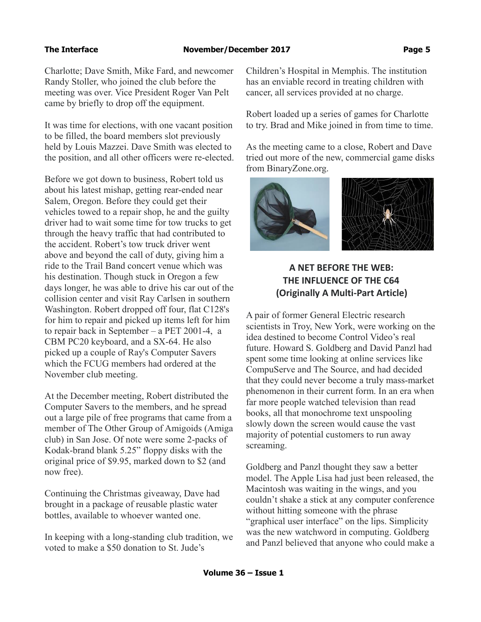Charlotte; Dave Smith, Mike Fard, and newcomer Randy Stoller, who joined the club before the meeting was over. Vice President Roger Van Pelt came by briefly to drop off the equipment.

It was time for elections, with one vacant position to be filled, the board members slot previously held by Louis Mazzei. Dave Smith was elected to the position, and all other officers were re-elected.

Before we got down to business, Robert told us about his latest mishap, getting rear-ended near Salem, Oregon. Before they could get their vehicles towed to a repair shop, he and the guilty driver had to wait some time for tow trucks to get through the heavy traffic that had contributed to the accident. Robert's tow truck driver went above and beyond the call of duty, giving him a ride to the Trail Band concert venue which was his destination. Though stuck in Oregon a few days longer, he was able to drive his car out of the collision center and visit Ray Carlsen in southern Washington. Robert dropped off four, flat C128's for him to repair and picked up items left for him to repair back in September – a PET 2001-4, a CBM PC20 keyboard, and a SX-64. He also picked up a couple of Ray's Computer Savers which the FCUG members had ordered at the November club meeting.

At the December meeting, Robert distributed the Computer Savers to the members, and he spread out a large pile of free programs that came from a member of The Other Group of Amigoids (Amiga club) in San Jose. Of note were some 2-packs of Kodak-brand blank 5.25" floppy disks with the original price of \$9.95, marked down to \$2 (and now free).

Continuing the Christmas giveaway, Dave had brought in a package of reusable plastic water bottles, available to whoever wanted one.

In keeping with a long-standing club tradition, we voted to make a \$50 donation to St. Jude's

Children's Hospital in Memphis. The institution has an enviable record in treating children with cancer, all services provided at no charge.

Robert loaded up a series of games for Charlotte to try. Brad and Mike joined in from time to time.

As the meeting came to a close, Robert and Dave tried out more of the new, commercial game disks from BinaryZone.org.



## **A NET BEFORE THE WEB: THE INFLUENCE OF THE C64 (Originally A Multi-Part Article)**

A pair of former General Electric research scientists in Troy, New York, were working on the idea destined to become Control Video's real future. Howard S. Goldberg and David Panzl had spent some time looking at online services like CompuServe and The Source, and had decided that they could never become a truly mass-market phenomenon in their current form. In an era when far more people watched television than read books, all that monochrome text unspooling slowly down the screen would cause the vast majority of potential customers to run away screaming.

Goldberg and Panzl thought they saw a better model. The Apple Lisa had just been released, the Macintosh was waiting in the wings, and you couldn't shake a stick at any computer conference without hitting someone with the phrase "graphical user interface" on the lips. Simplicity was the new watchword in computing. Goldberg and Panzl believed that anyone who could make a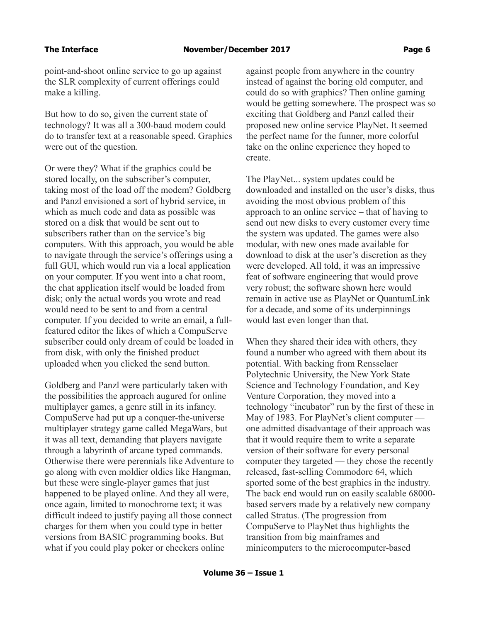point-and-shoot online service to go up against the SLR complexity of current offerings could make a killing.

But how to do so, given the current state of technology? It was all a 300-baud modem could do to transfer text at a reasonable speed. Graphics were out of the question.

Or were they? What if the graphics could be stored locally, on the subscriber's computer, taking most of the load off the modem? Goldberg and Panzl envisioned a sort of hybrid service, in which as much code and data as possible was stored on a disk that would be sent out to subscribers rather than on the service's big computers. With this approach, you would be able to navigate through the service's offerings using a full GUI, which would run via a local application on your computer. If you went into a chat room, the chat application itself would be loaded from disk; only the actual words you wrote and read would need to be sent to and from a central computer. If you decided to write an email, a fullfeatured editor the likes of which a CompuServe subscriber could only dream of could be loaded in from disk, with only the finished product uploaded when you clicked the send button.

Goldberg and Panzl were particularly taken with the possibilities the approach augured for online multiplayer games, a genre still in its infancy. CompuServe had put up a conquer-the-universe multiplayer strategy game called MegaWars, but it was all text, demanding that players navigate through a labyrinth of arcane typed commands. Otherwise there were perennials like Adventure to go along with even moldier oldies like Hangman, but these were single-player games that just happened to be played online. And they all were, once again, limited to monochrome text; it was difficult indeed to justify paying all those connect charges for them when you could type in better versions from BASIC programming books. But what if you could play poker or checkers online

against people from anywhere in the country instead of against the boring old computer, and could do so with graphics? Then online gaming would be getting somewhere. The prospect was so exciting that Goldberg and Panzl called their proposed new online service PlayNet. It seemed the perfect name for the funner, more colorful take on the online experience they hoped to create.

The PlayNet... system updates could be downloaded and installed on the user's disks, thus avoiding the most obvious problem of this approach to an online service – that of having to send out new disks to every customer every time the system was updated. The games were also modular, with new ones made available for download to disk at the user's discretion as they were developed. All told, it was an impressive feat of software engineering that would prove very robust; the software shown here would remain in active use as PlayNet or QuantumLink for a decade, and some of its underpinnings would last even longer than that.

When they shared their idea with others, they found a number who agreed with them about its potential. With backing from Rensselaer Polytechnic University, the New York State Science and Technology Foundation, and Key Venture Corporation, they moved into a technology "incubator" run by the first of these in May of 1983. For PlayNet's client computer one admitted disadvantage of their approach was that it would require them to write a separate version of their software for every personal computer they targeted — they chose the recently released, fast-selling Commodore 64, which sported some of the best graphics in the industry. The back end would run on easily scalable 68000 based servers made by a relatively new company called Stratus. (The progression from CompuServe to PlayNet thus highlights the transition from big mainframes and minicomputers to the microcomputer-based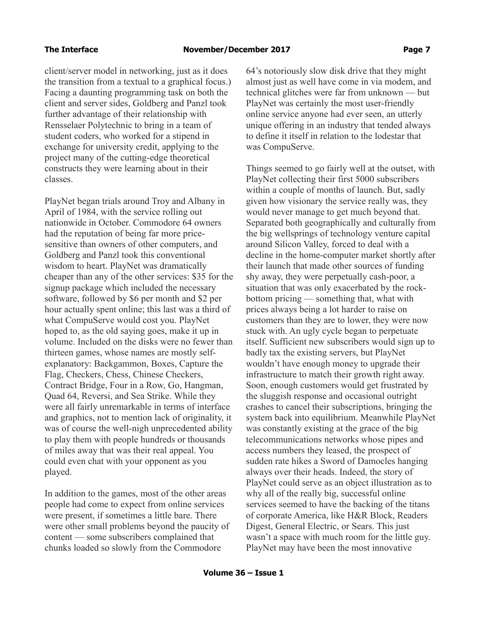client/server model in networking, just as it does the transition from a textual to a graphical focus.) Facing a daunting programming task on both the client and server sides, Goldberg and Panzl took further advantage of their relationship with Rensselaer Polytechnic to bring in a team of student coders, who worked for a stipend in exchange for university credit, applying to the project many of the cutting-edge theoretical constructs they were learning about in their classes.

PlayNet began trials around Troy and Albany in April of 1984, with the service rolling out nationwide in October. Commodore 64 owners had the reputation of being far more pricesensitive than owners of other computers, and Goldberg and Panzl took this conventional wisdom to heart. PlayNet was dramatically cheaper than any of the other services: \$35 for the signup package which included the necessary software, followed by \$6 per month and \$2 per hour actually spent online; this last was a third of what CompuServe would cost you. PlayNet hoped to, as the old saying goes, make it up in volume. Included on the disks were no fewer than thirteen games, whose names are mostly selfexplanatory: Backgammon, Boxes, Capture the Flag, Checkers, Chess, Chinese Checkers, Contract Bridge, Four in a Row, Go, Hangman, Quad 64, Reversi, and Sea Strike. While they were all fairly unremarkable in terms of interface and graphics, not to mention lack of originality, it was of course the well-nigh unprecedented ability to play them with people hundreds or thousands of miles away that was their real appeal. You could even chat with your opponent as you played.

In addition to the games, most of the other areas people had come to expect from online services were present, if sometimes a little bare. There were other small problems beyond the paucity of content — some subscribers complained that chunks loaded so slowly from the Commodore

64's notoriously slow disk drive that they might almost just as well have come in via modem, and technical glitches were far from unknown — but PlayNet was certainly the most user-friendly online service anyone had ever seen, an utterly unique offering in an industry that tended always to define it itself in relation to the lodestar that was CompuServe.

Things seemed to go fairly well at the outset, with PlayNet collecting their first 5000 subscribers within a couple of months of launch. But, sadly given how visionary the service really was, they would never manage to get much beyond that. Separated both geographically and culturally from the big wellsprings of technology venture capital around Silicon Valley, forced to deal with a decline in the home-computer market shortly after their launch that made other sources of funding shy away, they were perpetually cash-poor, a situation that was only exacerbated by the rockbottom pricing — something that, what with prices always being a lot harder to raise on customers than they are to lower, they were now stuck with. An ugly cycle began to perpetuate itself. Sufficient new subscribers would sign up to badly tax the existing servers, but PlayNet wouldn't have enough money to upgrade their infrastructure to match their growth right away. Soon, enough customers would get frustrated by the sluggish response and occasional outright crashes to cancel their subscriptions, bringing the system back into equilibrium. Meanwhile PlayNet was constantly existing at the grace of the big telecommunications networks whose pipes and access numbers they leased, the prospect of sudden rate hikes a Sword of Damocles hanging always over their heads. Indeed, the story of PlayNet could serve as an object illustration as to why all of the really big, successful online services seemed to have the backing of the titans of corporate America, like H&R Block, Readers Digest, General Electric, or Sears. This just wasn't a space with much room for the little guy. PlayNet may have been the most innovative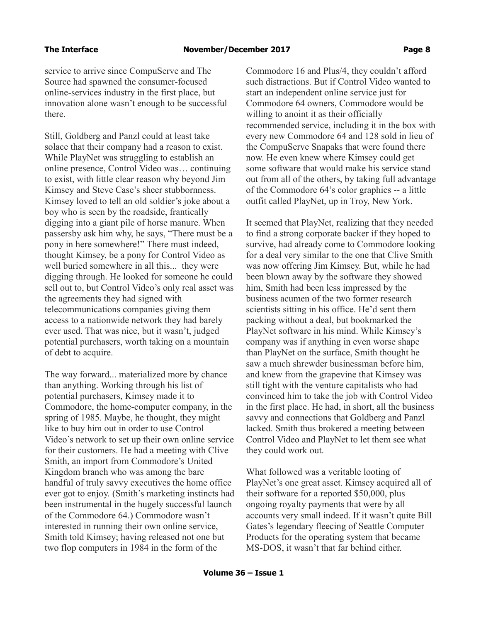service to arrive since CompuServe and The Source had spawned the consumer-focused online-services industry in the first place, but innovation alone wasn't enough to be successful there.

Still, Goldberg and Panzl could at least take solace that their company had a reason to exist. While PlayNet was struggling to establish an online presence, Control Video was… continuing to exist, with little clear reason why beyond Jim Kimsey and Steve Case's sheer stubbornness. Kimsey loved to tell an old soldier's joke about a boy who is seen by the roadside, frantically digging into a giant pile of horse manure. When passersby ask him why, he says, "There must be a pony in here somewhere!" There must indeed, thought Kimsey, be a pony for Control Video as well buried somewhere in all this... they were digging through. He looked for someone he could sell out to, but Control Video's only real asset was the agreements they had signed with telecommunications companies giving them access to a nationwide network they had barely ever used. That was nice, but it wasn't, judged potential purchasers, worth taking on a mountain of debt to acquire.

The way forward... materialized more by chance than anything. Working through his list of potential purchasers, Kimsey made it to Commodore, the home-computer company, in the spring of 1985. Maybe, he thought, they might like to buy him out in order to use Control Video's network to set up their own online service for their customers. He had a meeting with Clive Smith, an import from Commodore's United Kingdom branch who was among the bare handful of truly savvy executives the home office ever got to enjoy. (Smith's marketing instincts had been instrumental in the hugely successful launch of the Commodore 64.) Commodore wasn't interested in running their own online service, Smith told Kimsey; having released not one but two flop computers in 1984 in the form of the

Commodore 16 and Plus/4, they couldn't afford such distractions. But if Control Video wanted to start an independent online service just for Commodore 64 owners, Commodore would be willing to anoint it as their officially recommended service, including it in the box with every new Commodore 64 and 128 sold in lieu of the CompuServe Snapaks that were found there now. He even knew where Kimsey could get some software that would make his service stand out from all of the others, by taking full advantage of the Commodore 64's color graphics -- a little outfit called PlayNet, up in Troy, New York.

It seemed that PlayNet, realizing that they needed to find a strong corporate backer if they hoped to survive, had already come to Commodore looking for a deal very similar to the one that Clive Smith was now offering Jim Kimsey. But, while he had been blown away by the software they showed him, Smith had been less impressed by the business acumen of the two former research scientists sitting in his office. He'd sent them packing without a deal, but bookmarked the PlayNet software in his mind. While Kimsey's company was if anything in even worse shape than PlayNet on the surface, Smith thought he saw a much shrewder businessman before him, and knew from the grapevine that Kimsey was still tight with the venture capitalists who had convinced him to take the job with Control Video in the first place. He had, in short, all the business savvy and connections that Goldberg and Panzl lacked. Smith thus brokered a meeting between Control Video and PlayNet to let them see what they could work out.

What followed was a veritable looting of PlayNet's one great asset. Kimsey acquired all of their software for a reported \$50,000, plus ongoing royalty payments that were by all accounts very small indeed. If it wasn't quite Bill Gates's legendary fleecing of Seattle Computer Products for the operating system that became MS-DOS, it wasn't that far behind either.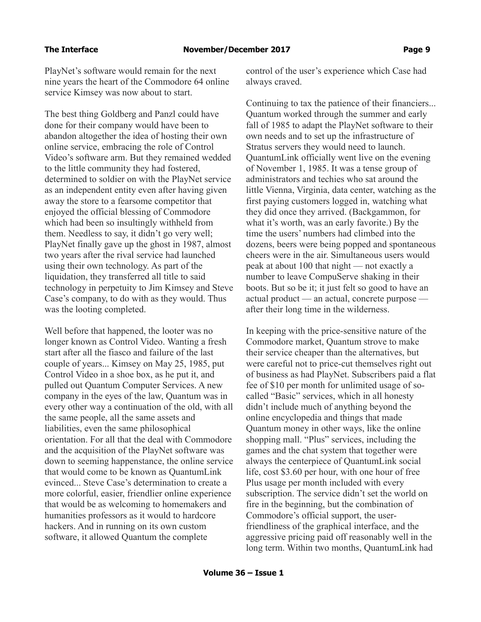PlayNet's software would remain for the next nine years the heart of the Commodore 64 online service Kimsey was now about to start.

The best thing Goldberg and Panzl could have done for their company would have been to abandon altogether the idea of hosting their own online service, embracing the role of Control Video's software arm. But they remained wedded to the little community they had fostered, determined to soldier on with the PlayNet service as an independent entity even after having given away the store to a fearsome competitor that enjoyed the official blessing of Commodore which had been so insultingly withheld from them. Needless to say, it didn't go very well; PlayNet finally gave up the ghost in 1987, almost two years after the rival service had launched using their own technology. As part of the liquidation, they transferred all title to said technology in perpetuity to Jim Kimsey and Steve Case's company, to do with as they would. Thus was the looting completed.

Well before that happened, the looter was no longer known as Control Video. Wanting a fresh start after all the fiasco and failure of the last couple of years... Kimsey on May 25, 1985, put Control Video in a shoe box, as he put it, and pulled out Quantum Computer Services. A new company in the eyes of the law, Quantum was in every other way a continuation of the old, with all the same people, all the same assets and liabilities, even the same philosophical orientation. For all that the deal with Commodore and the acquisition of the PlayNet software was down to seeming happenstance, the online service that would come to be known as QuantumLink evinced... Steve Case's determination to create a more colorful, easier, friendlier online experience that would be as welcoming to homemakers and humanities professors as it would to hardcore hackers. And in running on its own custom software, it allowed Quantum the complete

control of the user's experience which Case had always craved.

Continuing to tax the patience of their financiers... Quantum worked through the summer and early fall of 1985 to adapt the PlayNet software to their own needs and to set up the infrastructure of Stratus servers they would need to launch. QuantumLink officially went live on the evening of November 1, 1985. It was a tense group of administrators and techies who sat around the little Vienna, Virginia, data center, watching as the first paying customers logged in, watching what they did once they arrived. (Backgammon, for what it's worth, was an early favorite.) By the time the users' numbers had climbed into the dozens, beers were being popped and spontaneous cheers were in the air. Simultaneous users would peak at about 100 that night — not exactly a number to leave CompuServe shaking in their boots. But so be it; it just felt so good to have an actual product — an actual, concrete purpose after their long time in the wilderness.

In keeping with the price-sensitive nature of the Commodore market, Quantum strove to make their service cheaper than the alternatives, but were careful not to price-cut themselves right out of business as had PlayNet. Subscribers paid a flat fee of \$10 per month for unlimited usage of socalled "Basic" services, which in all honesty didn't include much of anything beyond the online encyclopedia and things that made Quantum money in other ways, like the online shopping mall. "Plus" services, including the games and the chat system that together were always the centerpiece of QuantumLink social life, cost \$3.60 per hour, with one hour of free Plus usage per month included with every subscription. The service didn't set the world on fire in the beginning, but the combination of Commodore's official support, the userfriendliness of the graphical interface, and the aggressive pricing paid off reasonably well in the long term. Within two months, QuantumLink had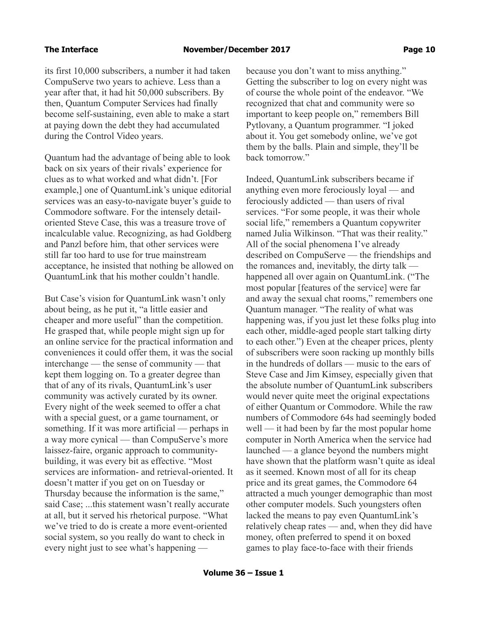its first 10,000 subscribers, a number it had taken CompuServe two years to achieve. Less than a year after that, it had hit 50,000 subscribers. By then, Quantum Computer Services had finally become self-sustaining, even able to make a start at paying down the debt they had accumulated during the Control Video years.

Quantum had the advantage of being able to look back on six years of their rivals' experience for clues as to what worked and what didn't. [For example,] one of QuantumLink's unique editorial services was an easy-to-navigate buyer's guide to Commodore software. For the intensely detailoriented Steve Case, this was a treasure trove of incalculable value. Recognizing, as had Goldberg and Panzl before him, that other services were still far too hard to use for true mainstream acceptance, he insisted that nothing be allowed on QuantumLink that his mother couldn't handle.

But Case's vision for QuantumLink wasn't only about being, as he put it, "a little easier and cheaper and more useful" than the competition. He grasped that, while people might sign up for an online service for the practical information and conveniences it could offer them, it was the social interchange — the sense of community — that kept them logging on. To a greater degree than that of any of its rivals, QuantumLink's user community was actively curated by its owner. Every night of the week seemed to offer a chat with a special guest, or a game tournament, or something. If it was more artificial — perhaps in a way more cynical — than CompuServe's more laissez-faire, organic approach to communitybuilding, it was every bit as effective. "Most services are information- and retrieval-oriented. It doesn't matter if you get on on Tuesday or Thursday because the information is the same," said Case; ...this statement wasn't really accurate at all, but it served his rhetorical purpose. "What we've tried to do is create a more event-oriented social system, so you really do want to check in every night just to see what's happening —

because you don't want to miss anything." Getting the subscriber to log on every night was of course the whole point of the endeavor. "We recognized that chat and community were so important to keep people on," remembers Bill Pytlovany, a Quantum programmer. "I joked about it. You get somebody online, we've got them by the balls. Plain and simple, they'll be back tomorrow."

Indeed, QuantumLink subscribers became if anything even more ferociously loyal — and ferociously addicted — than users of rival services. "For some people, it was their whole social life," remembers a Quantum copywriter named Julia Wilkinson. "That was their reality." All of the social phenomena I've already described on CompuServe — the friendships and the romances and, inevitably, the dirty talk happened all over again on QuantumLink. ("The most popular [features of the service] were far and away the sexual chat rooms," remembers one Quantum manager. "The reality of what was happening was, if you just let these folks plug into each other, middle-aged people start talking dirty to each other.") Even at the cheaper prices, plenty of subscribers were soon racking up monthly bills in the hundreds of dollars — music to the ears of Steve Case and Jim Kimsey, especially given that the absolute number of QuantumLink subscribers would never quite meet the original expectations of either Quantum or Commodore. While the raw numbers of Commodore 64s had seemingly boded well — it had been by far the most popular home computer in North America when the service had launched — a glance beyond the numbers might have shown that the platform wasn't quite as ideal as it seemed. Known most of all for its cheap price and its great games, the Commodore 64 attracted a much younger demographic than most other computer models. Such youngsters often lacked the means to pay even QuantumLink's relatively cheap rates — and, when they did have money, often preferred to spend it on boxed games to play face-to-face with their friends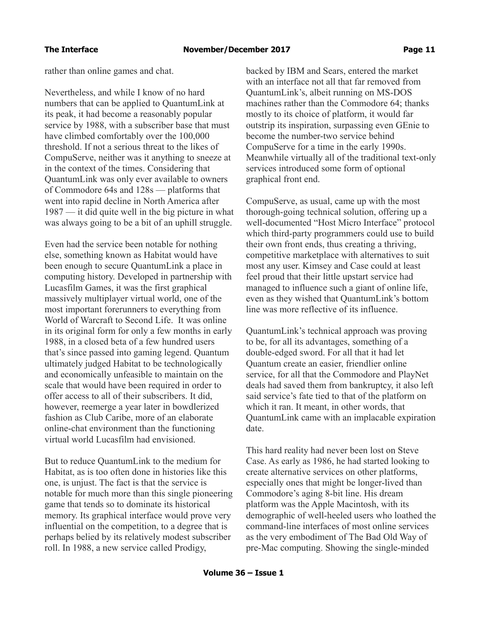rather than online games and chat.

Nevertheless, and while I know of no hard numbers that can be applied to QuantumLink at its peak, it had become a reasonably popular service by 1988, with a subscriber base that must have climbed comfortably over the 100,000 threshold. If not a serious threat to the likes of CompuServe, neither was it anything to sneeze at in the context of the times. Considering that QuantumLink was only ever available to owners of Commodore 64s and 128s — platforms that went into rapid decline in North America after 1987 — it did quite well in the big picture in what was always going to be a bit of an uphill struggle.

Even had the service been notable for nothing else, something known as Habitat would have been enough to secure QuantumLink a place in computing history. Developed in partnership with Lucasfilm Games, it was the first graphical massively multiplayer virtual world, one of the most important forerunners to everything from World of Warcraft to Second Life. It was online in its original form for only a few months in early 1988, in a closed beta of a few hundred users that's since passed into gaming legend. Quantum ultimately judged Habitat to be technologically and economically unfeasible to maintain on the scale that would have been required in order to offer access to all of their subscribers. It did, however, reemerge a year later in bowdlerized fashion as Club Caribe, more of an elaborate online-chat environment than the functioning virtual world Lucasfilm had envisioned.

But to reduce QuantumLink to the medium for Habitat, as is too often done in histories like this one, is unjust. The fact is that the service is notable for much more than this single pioneering game that tends so to dominate its historical memory. Its graphical interface would prove very influential on the competition, to a degree that is perhaps belied by its relatively modest subscriber roll. In 1988, a new service called Prodigy,

backed by IBM and Sears, entered the market with an interface not all that far removed from QuantumLink's, albeit running on MS-DOS machines rather than the Commodore 64; thanks mostly to its choice of platform, it would far outstrip its inspiration, surpassing even GEnie to become the number-two service behind CompuServe for a time in the early 1990s. Meanwhile virtually all of the traditional text-only services introduced some form of optional graphical front end.

CompuServe, as usual, came up with the most thorough-going technical solution, offering up a well-documented "Host Micro Interface" protocol which third-party programmers could use to build their own front ends, thus creating a thriving, competitive marketplace with alternatives to suit most any user. Kimsey and Case could at least feel proud that their little upstart service had managed to influence such a giant of online life, even as they wished that QuantumLink's bottom line was more reflective of its influence.

QuantumLink's technical approach was proving to be, for all its advantages, something of a double-edged sword. For all that it had let Quantum create an easier, friendlier online service, for all that the Commodore and PlayNet deals had saved them from bankruptcy, it also left said service's fate tied to that of the platform on which it ran. It meant, in other words, that QuantumLink came with an implacable expiration date.

This hard reality had never been lost on Steve Case. As early as 1986, he had started looking to create alternative services on other platforms, especially ones that might be longer-lived than Commodore's aging 8-bit line. His dream platform was the Apple Macintosh, with its demographic of well-heeled users who loathed the command-line interfaces of most online services as the very embodiment of The Bad Old Way of pre-Mac computing. Showing the single-minded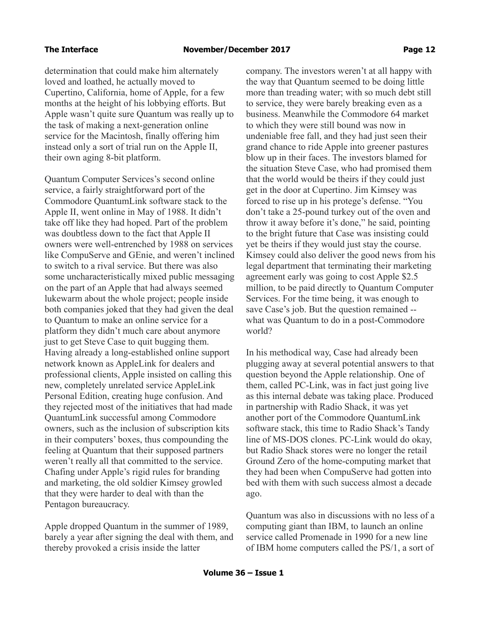determination that could make him alternately loved and loathed, he actually moved to Cupertino, California, home of Apple, for a few months at the height of his lobbying efforts. But Apple wasn't quite sure Quantum was really up to the task of making a next-generation online service for the Macintosh, finally offering him instead only a sort of trial run on the Apple II, their own aging 8-bit platform.

Quantum Computer Services's second online service, a fairly straightforward port of the Commodore QuantumLink software stack to the Apple II, went online in May of 1988. It didn't take off like they had hoped. Part of the problem was doubtless down to the fact that Apple II owners were well-entrenched by 1988 on services like CompuServe and GEnie, and weren't inclined to switch to a rival service. But there was also some uncharacteristically mixed public messaging on the part of an Apple that had always seemed lukewarm about the whole project; people inside both companies joked that they had given the deal to Quantum to make an online service for a platform they didn't much care about anymore just to get Steve Case to quit bugging them. Having already a long-established online support network known as AppleLink for dealers and professional clients, Apple insisted on calling this new, completely unrelated service AppleLink Personal Edition, creating huge confusion. And they rejected most of the initiatives that had made QuantumLink successful among Commodore owners, such as the inclusion of subscription kits in their computers' boxes, thus compounding the feeling at Quantum that their supposed partners weren't really all that committed to the service. Chafing under Apple's rigid rules for branding and marketing, the old soldier Kimsey growled that they were harder to deal with than the Pentagon bureaucracy.

Apple dropped Quantum in the summer of 1989, barely a year after signing the deal with them, and thereby provoked a crisis inside the latter

company. The investors weren't at all happy with the way that Quantum seemed to be doing little more than treading water; with so much debt still to service, they were barely breaking even as a business. Meanwhile the Commodore 64 market to which they were still bound was now in undeniable free fall, and they had just seen their grand chance to ride Apple into greener pastures blow up in their faces. The investors blamed for the situation Steve Case, who had promised them that the world would be theirs if they could just get in the door at Cupertino. Jim Kimsey was forced to rise up in his protege's defense. "You don't take a 25-pound turkey out of the oven and throw it away before it's done," he said, pointing to the bright future that Case was insisting could yet be theirs if they would just stay the course. Kimsey could also deliver the good news from his legal department that terminating their marketing agreement early was going to cost Apple \$2.5 million, to be paid directly to Quantum Computer Services. For the time being, it was enough to save Case's job. But the question remained - what was Quantum to do in a post-Commodore world?

In his methodical way, Case had already been plugging away at several potential answers to that question beyond the Apple relationship. One of them, called PC-Link, was in fact just going live as this internal debate was taking place. Produced in partnership with Radio Shack, it was yet another port of the Commodore QuantumLink software stack, this time to Radio Shack's Tandy line of MS-DOS clones. PC-Link would do okay, but Radio Shack stores were no longer the retail Ground Zero of the home-computing market that they had been when CompuServe had gotten into bed with them with such success almost a decade ago.

Quantum was also in discussions with no less of a computing giant than IBM, to launch an online service called Promenade in 1990 for a new line of IBM home computers called the PS/1, a sort of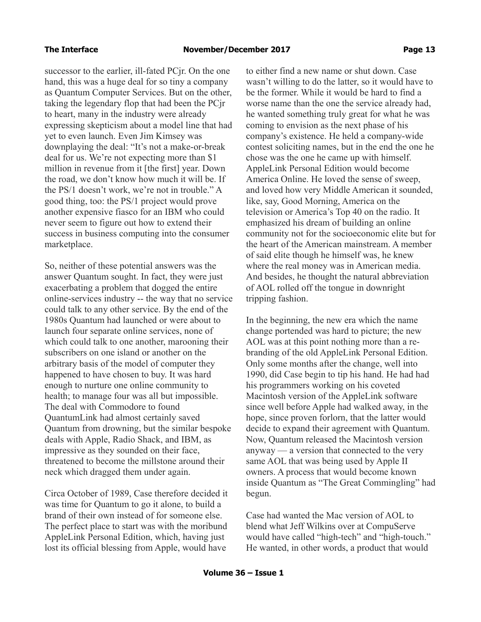successor to the earlier, ill-fated PCjr. On the one hand, this was a huge deal for so tiny a company as Quantum Computer Services. But on the other, taking the legendary flop that had been the PCjr to heart, many in the industry were already expressing skepticism about a model line that had yet to even launch. Even Jim Kimsey was downplaying the deal: "It's not a make-or-break deal for us. We're not expecting more than \$1 million in revenue from it [the first] year. Down the road, we don't know how much it will be. If the PS/1 doesn't work, we're not in trouble." A good thing, too: the PS/1 project would prove another expensive fiasco for an IBM who could never seem to figure out how to extend their success in business computing into the consumer marketplace.

So, neither of these potential answers was the answer Quantum sought. In fact, they were just exacerbating a problem that dogged the entire online-services industry -- the way that no service could talk to any other service. By the end of the 1980s Quantum had launched or were about to launch four separate online services, none of which could talk to one another, marooning their subscribers on one island or another on the arbitrary basis of the model of computer they happened to have chosen to buy. It was hard enough to nurture one online community to health; to manage four was all but impossible. The deal with Commodore to found QuantumLink had almost certainly saved Quantum from drowning, but the similar bespoke deals with Apple, Radio Shack, and IBM, as impressive as they sounded on their face, threatened to become the millstone around their neck which dragged them under again.

Circa October of 1989, Case therefore decided it was time for Quantum to go it alone, to build a brand of their own instead of for someone else. The perfect place to start was with the moribund AppleLink Personal Edition, which, having just lost its official blessing from Apple, would have

to either find a new name or shut down. Case wasn't willing to do the latter, so it would have to be the former. While it would be hard to find a worse name than the one the service already had, he wanted something truly great for what he was coming to envision as the next phase of his company's existence. He held a company-wide contest soliciting names, but in the end the one he chose was the one he came up with himself. AppleLink Personal Edition would become America Online. He loved the sense of sweep, and loved how very Middle American it sounded, like, say, Good Morning, America on the television or America's Top 40 on the radio. It emphasized his dream of building an online community not for the socioeconomic elite but for the heart of the American mainstream. A member of said elite though he himself was, he knew where the real money was in American media. And besides, he thought the natural abbreviation of AOL rolled off the tongue in downright tripping fashion.

In the beginning, the new era which the name change portended was hard to picture; the new AOL was at this point nothing more than a rebranding of the old AppleLink Personal Edition. Only some months after the change, well into 1990, did Case begin to tip his hand. He had had his programmers working on his coveted Macintosh version of the AppleLink software since well before Apple had walked away, in the hope, since proven forlorn, that the latter would decide to expand their agreement with Quantum. Now, Quantum released the Macintosh version anyway — a version that connected to the very same AOL that was being used by Apple II owners. A process that would become known inside Quantum as "The Great Commingling" had begun.

Case had wanted the Mac version of AOL to blend what Jeff Wilkins over at CompuServe would have called "high-tech" and "high-touch." He wanted, in other words, a product that would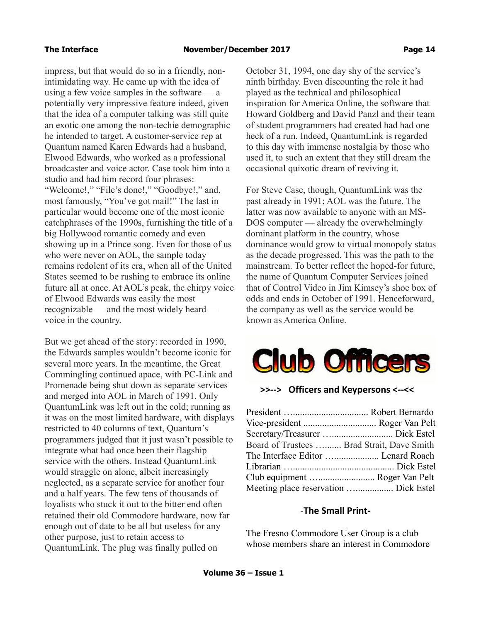impress, but that would do so in a friendly, nonintimidating way. He came up with the idea of using a few voice samples in the software — a potentially very impressive feature indeed, given that the idea of a computer talking was still quite an exotic one among the non-techie demographic he intended to target. A customer-service rep at Quantum named Karen Edwards had a husband, Elwood Edwards, who worked as a professional broadcaster and voice actor. Case took him into a studio and had him record four phrases: "Welcome!," "File's done!," "Goodbye!," and, most famously, "You've got mail!" The last in particular would become one of the most iconic catchphrases of the 1990s, furnishing the title of a big Hollywood romantic comedy and even showing up in a Prince song. Even for those of us who were never on AOL, the sample today remains redolent of its era, when all of the United States seemed to be rushing to embrace its online future all at once. At AOL's peak, the chirpy voice of Elwood Edwards was easily the most recognizable — and the most widely heard voice in the country.

But we get ahead of the story: recorded in 1990, the Edwards samples wouldn't become iconic for several more years. In the meantime, the Great Commingling continued apace, with PC-Link and Promenade being shut down as separate services and merged into AOL in March of 1991. Only QuantumLink was left out in the cold; running as it was on the most limited hardware, with displays restricted to 40 columns of text, Quantum's programmers judged that it just wasn't possible to integrate what had once been their flagship service with the others. Instead QuantumLink would straggle on alone, albeit increasingly neglected, as a separate service for another four and a half years. The few tens of thousands of loyalists who stuck it out to the bitter end often retained their old Commodore hardware, now far enough out of date to be all but useless for any other purpose, just to retain access to QuantumLink. The plug was finally pulled on

October 31, 1994, one day shy of the service's ninth birthday. Even discounting the role it had played as the technical and philosophical inspiration for America Online, the software that Howard Goldberg and David Panzl and their team of student programmers had created had had one heck of a run. Indeed, QuantumLink is regarded to this day with immense nostalgia by those who used it, to such an extent that they still dream the occasional quixotic dream of reviving it.

For Steve Case, though, QuantumLink was the past already in 1991; AOL was the future. The latter was now available to anyone with an MS-DOS computer — already the overwhelmingly dominant platform in the country, whose dominance would grow to virtual monopoly status as the decade progressed. This was the path to the mainstream. To better reflect the hoped-for future, the name of Quantum Computer Services joined that of Control Video in Jim Kimsey's shoe box of odds and ends in October of 1991. Henceforward, the company as well as the service would be known as America Online.



### **>>--> Officers and Keypersons <--<<**

| Board of Trustees  Brad Strait, Dave Smith |  |
|--------------------------------------------|--|
| The Interface Editor  Lenard Roach         |  |
|                                            |  |
| Club equipment  Roger Van Pelt             |  |
| Meeting place reservation  Dick Estel      |  |

### -**The Small Print-**

The Fresno Commodore User Group is a club whose members share an interest in Commodore